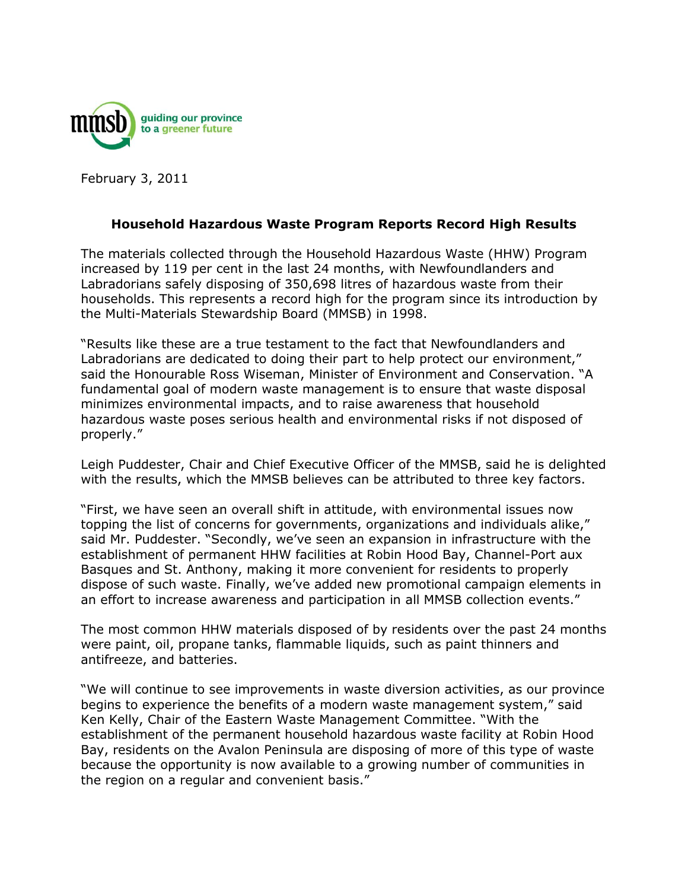

February 3, 2011

## **Household Hazardous Waste Program Reports Record High Results**

The materials collected through the Household Hazardous Waste (HHW) Program increased by 119 per cent in the last 24 months, with Newfoundlanders and Labradorians safely disposing of 350,698 litres of hazardous waste from their households. This represents a record high for the program since its introduction by the Multi-Materials Stewardship Board (MMSB) in 1998.

"Results like these are a true testament to the fact that Newfoundlanders and Labradorians are dedicated to doing their part to help protect our environment," said the Honourable Ross Wiseman, Minister of Environment and Conservation. "A fundamental goal of modern waste management is to ensure that waste disposal minimizes environmental impacts, and to raise awareness that household hazardous waste poses serious health and environmental risks if not disposed of properly."

Leigh Puddester, Chair and Chief Executive Officer of the MMSB, said he is delighted with the results, which the MMSB believes can be attributed to three key factors.

"First, we have seen an overall shift in attitude, with environmental issues now topping the list of concerns for governments, organizations and individuals alike," said Mr. Puddester. "Secondly, we've seen an expansion in infrastructure with the establishment of permanent HHW facilities at Robin Hood Bay, Channel-Port aux Basques and St. Anthony, making it more convenient for residents to properly dispose of such waste. Finally, we've added new promotional campaign elements in an effort to increase awareness and participation in all MMSB collection events."

The most common HHW materials disposed of by residents over the past 24 months were paint, oil, propane tanks, flammable liquids, such as paint thinners and antifreeze, and batteries.

"We will continue to see improvements in waste diversion activities, as our province begins to experience the benefits of a modern waste management system," said Ken Kelly, Chair of the Eastern Waste Management Committee. "With the establishment of the permanent household hazardous waste facility at Robin Hood Bay, residents on the Avalon Peninsula are disposing of more of this type of waste because the opportunity is now available to a growing number of communities in the region on a regular and convenient basis."